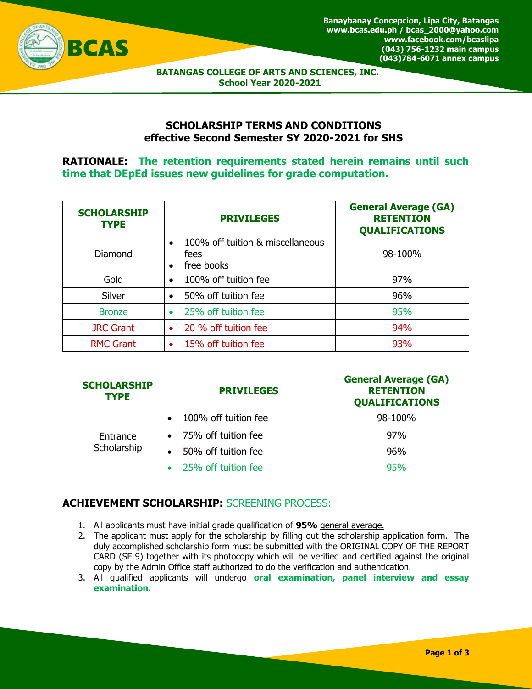

 **BATANGAS COLLEGE OF ARTS AND SCIENCES, INC. School Year 2020-2021**

### **SCHOLARSHIP TERMS AND CONDITIONS effective Second Semester SY 2020-2021 for SHS**

**RATIONALE: The retention requirements stated herein remains until such time that DEpEd issues new guidelines for grade computation.**

| <b>SCHOLARSHIP</b><br><b>TYPE</b> | <b>PRIVILEGES</b>                                      | <b>General Average (GA)</b><br><b>RETENTION</b><br><b>QUALIFICATIONS</b> |  |
|-----------------------------------|--------------------------------------------------------|--------------------------------------------------------------------------|--|
| Diamond                           | 100% off tuition & miscellaneous<br>fees<br>free books | 98-100%                                                                  |  |
| Gold                              | 100% off tuition fee<br>$\bullet$                      | 97%                                                                      |  |
| Silver                            | 50% off tuition fee                                    | 96%                                                                      |  |
| <b>Bronze</b>                     | 25% off tuition fee                                    | 95%                                                                      |  |
| <b>JRC Grant</b>                  | 20 % off tuition fee                                   | 94%                                                                      |  |
| <b>RMC Grant</b>                  | 15% off tuition fee                                    | 93%                                                                      |  |

| <b>SCHOLARSHIP</b><br><b>TYPE</b> | <b>PRIVILEGES</b>    | <b>General Average (GA)</b><br><b>RETENTION</b><br><b>QUALIFICATIONS</b> |
|-----------------------------------|----------------------|--------------------------------------------------------------------------|
| Entrance<br>Scholarship           | 100% off tuition fee | 98-100%                                                                  |
|                                   | 75% off tuition fee  | 97%                                                                      |
|                                   | 50% off tuition fee  | 96%                                                                      |
|                                   | 25% off tuition fee  | 95%                                                                      |

# **ACHIEVEMENT SCHOLARSHIP:** SCREENING PROCESS:

- 1. All applicants must have initial grade qualification of **95%** general average.
- 2. The applicant must apply for the scholarship by filling out the scholarship application form. The duly accomplished scholarship form must be submitted with the ORIGINAL COPY OF THE REPORT CARD (SF 9) together with its photocopy which will be verified and certified against the original copy by the Admin Office staff authorized to do the verification and authentication.
- 3. All qualified applicants will undergo **oral examination, panel interview and essay examination.**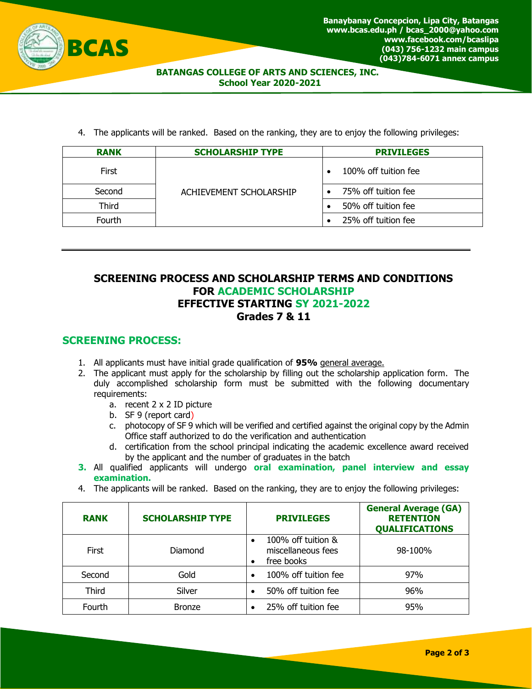

#### **BATANGAS COLLEGE OF ARTS AND SCIENCES, INC. School Year 2020-2021**

4. The applicants will be ranked. Based on the ranking, they are to enjoy the following privileges:

| <b>RANK</b> | <b>SCHOLARSHIP TYPE</b> | <b>PRIVILEGES</b>                 |  |
|-------------|-------------------------|-----------------------------------|--|
| First       |                         | 100% off tuition fee<br>$\bullet$ |  |
| Second      | ACHIEVEMENT SCHOLARSHIP | 75% off tuition fee               |  |
| Third       |                         | 50% off tuition fee               |  |
| Fourth      |                         | 25% off tuition fee               |  |

### **SCREENING PROCESS AND SCHOLARSHIP TERMS AND CONDITIONS FOR ACADEMIC SCHOLARSHIP EFFECTIVE STARTING SY 2021-2022 Grades 7 & 11**

### **SCREENING PROCESS:**

- 1. All applicants must have initial grade qualification of **95%** general average.
- 2. The applicant must apply for the scholarship by filling out the scholarship application form. The duly accomplished scholarship form must be submitted with the following documentary requirements:
	- a. recent 2 x 2 ID picture
	- b. SF 9 (report card)
	- c. photocopy of SF 9 which will be verified and certified against the original copy by the Admin Office staff authorized to do the verification and authentication
	- d. certification from the school principal indicating the academic excellence award received by the applicant and the number of graduates in the batch
- **3.** All qualified applicants will undergo **oral examination, panel interview and essay examination.**
- 4. The applicants will be ranked. Based on the ranking, they are to enjoy the following privileges:

| <b>RANK</b>  | <b>SCHOLARSHIP TYPE</b> | <b>PRIVILEGES</b>                                      | <b>General Average (GA)</b><br><b>RETENTION</b><br><b>QUALIFICATIONS</b> |
|--------------|-------------------------|--------------------------------------------------------|--------------------------------------------------------------------------|
| <b>First</b> | Diamond                 | 100% off tuition &<br>miscellaneous fees<br>free books | 98-100%                                                                  |
| Second       | Gold                    | 100% off tuition fee                                   | 97%                                                                      |
| Third        | Silver                  | 50% off tuition fee                                    | 96%                                                                      |
| Fourth       | <b>Bronze</b>           | 25% off tuition fee                                    | 95%                                                                      |